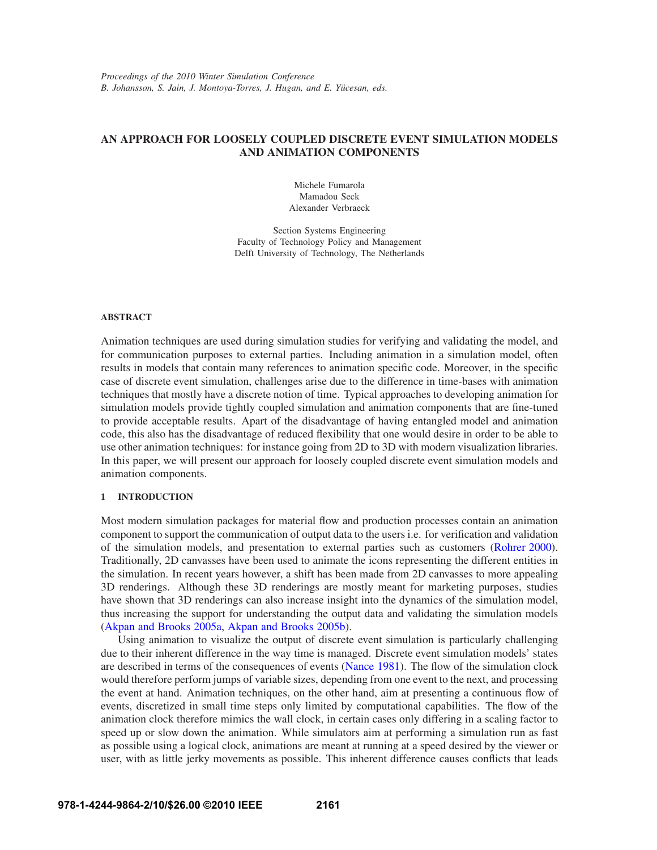# **AN APPROACH FOR LOOSELY COUPLED DISCRETE EVENT SIMULATION MODELS AND ANIMATION COMPONENTS**

Michele Fumarola Mamadou Seck Alexander Verbraeck

Section Systems Engineering Faculty of Technology Policy and Management Delft University of Technology, The Netherlands

#### **ABSTRACT**

Animation techniques are used during simulation studies for verifying and validating the model, and for communication purposes to external parties. Including animation in a simulation model, often results in models that contain many references to animation specific code. Moreover, in the specific case of discrete event simulation, challenges arise due to the difference in time-bases with animation techniques that mostly have a discrete notion of time. Typical approaches to developing animation for simulation models provide tightly coupled simulation and animation components that are fine-tuned to provide acceptable results. Apart of the disadvantage of having entangled model and animation code, this also has the disadvantage of reduced flexibility that one would desire in order to be able to use other animation techniques: for instance going from 2D to 3D with modern visualization libraries. In this paper, we will present our approach for loosely coupled discrete event simulation models and animation components.

# **1 INTRODUCTION**

Most modern simulation packages for material flow and production processes contain an animation component to support the communication of output data to the users i.e. for verification and validation of the simulation models, and presentation to external parties such as customers (Rohrer 2000). Traditionally, 2D canvasses have been used to animate the icons representing the different entities in the simulation. In recent years however, a shift has been made from 2D canvasses to more appealing 3D renderings. Although these 3D renderings are mostly meant for marketing purposes, studies have shown that 3D renderings can also increase insight into the dynamics of the simulation model, thus increasing the support for understanding the output data and validating the simulation models (Akpan and Brooks 2005a, Akpan and Brooks 2005b).

Using animation to visualize the output of discrete event simulation is particularly challenging due to their inherent difference in the way time is managed. Discrete event simulation models' states are described in terms of the consequences of events (Nance 1981). The flow of the simulation clock would therefore perform jumps of variable sizes, depending from one event to the next, and processing the event at hand. Animation techniques, on the other hand, aim at presenting a continuous flow of events, discretized in small time steps only limited by computational capabilities. The flow of the animation clock therefore mimics the wall clock, in certain cases only differing in a scaling factor to speed up or slow down the animation. While simulators aim at performing a simulation run as fast as possible using a logical clock, animations are meant at running at a speed desired by the viewer or user, with as little jerky movements as possible. This inherent difference causes conflicts that leads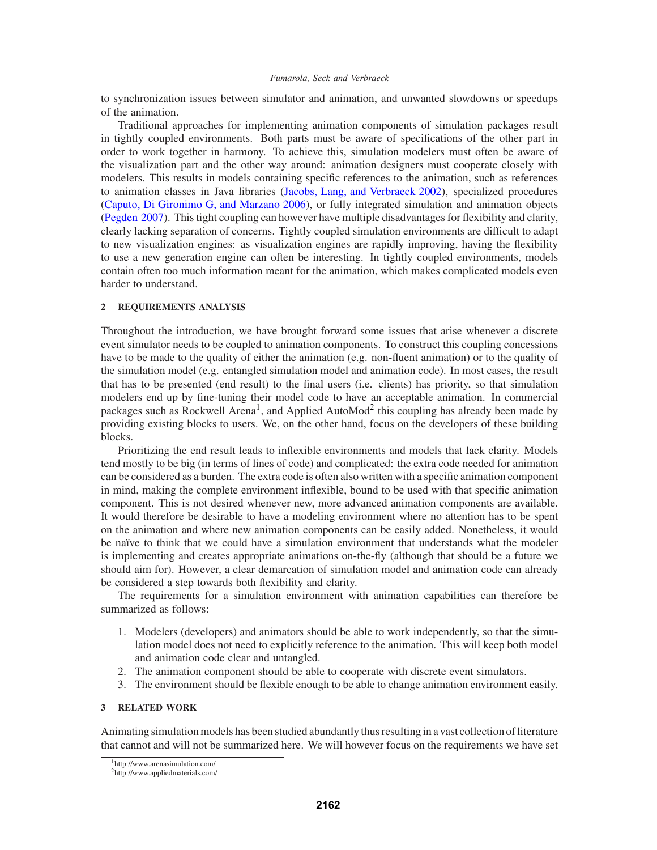to synchronization issues between simulator and animation, and unwanted slowdowns or speedups of the animation.

Traditional approaches for implementing animation components of simulation packages result in tightly coupled environments. Both parts must be aware of specifications of the other part in order to work together in harmony. To achieve this, simulation modelers must often be aware of the visualization part and the other way around: animation designers must cooperate closely with modelers. This results in models containing specific references to the animation, such as references to animation classes in Java libraries (Jacobs, Lang, and Verbraeck 2002), specialized procedures (Caputo, Di Gironimo G, and Marzano 2006), or fully integrated simulation and animation objects (Pegden 2007). This tight coupling can however have multiple disadvantages for flexibility and clarity, clearly lacking separation of concerns. Tightly coupled simulation environments are difficult to adapt to new visualization engines: as visualization engines are rapidly improving, having the flexibility to use a new generation engine can often be interesting. In tightly coupled environments, models contain often too much information meant for the animation, which makes complicated models even harder to understand.

# **2 REQUIREMENTS ANALYSIS**

Throughout the introduction, we have brought forward some issues that arise whenever a discrete event simulator needs to be coupled to animation components. To construct this coupling concessions have to be made to the quality of either the animation (e.g. non-fluent animation) or to the quality of the simulation model (e.g. entangled simulation model and animation code). In most cases, the result that has to be presented (end result) to the final users (i.e. clients) has priority, so that simulation modelers end up by fine-tuning their model code to have an acceptable animation. In commercial packages such as Rockwell Arena<sup>1</sup>, and Applied AutoMod<sup>2</sup> this coupling has already been made by providing existing blocks to users. We, on the other hand, focus on the developers of these building blocks.

Prioritizing the end result leads to inflexible environments and models that lack clarity. Models tend mostly to be big (in terms of lines of code) and complicated: the extra code needed for animation can be considered as a burden. The extra code is often also written with a specific animation component in mind, making the complete environment inflexible, bound to be used with that specific animation component. This is not desired whenever new, more advanced animation components are available. It would therefore be desirable to have a modeling environment where no attention has to be spent on the animation and where new animation components can be easily added. Nonetheless, it would be naïve to think that we could have a simulation environment that understands what the modeler is implementing and creates appropriate animations on-the-fly (although that should be a future we should aim for). However, a clear demarcation of simulation model and animation code can already be considered a step towards both flexibility and clarity.

The requirements for a simulation environment with animation capabilities can therefore be summarized as follows:

- 1. Modelers (developers) and animators should be able to work independently, so that the simulation model does not need to explicitly reference to the animation. This will keep both model and animation code clear and untangled.
- 2. The animation component should be able to cooperate with discrete event simulators.
- 3. The environment should be flexible enough to be able to change animation environment easily.

# **3 RELATED WORK**

Animating simulation models has been studied abundantly thus resulting in a vast collection of literature that cannot and will not be summarized here. We will however focus on the requirements we have set

<sup>&</sup>lt;sup>1</sup>http://www.arenasimulation.com/

<sup>2</sup>http://www.appliedmaterials.com/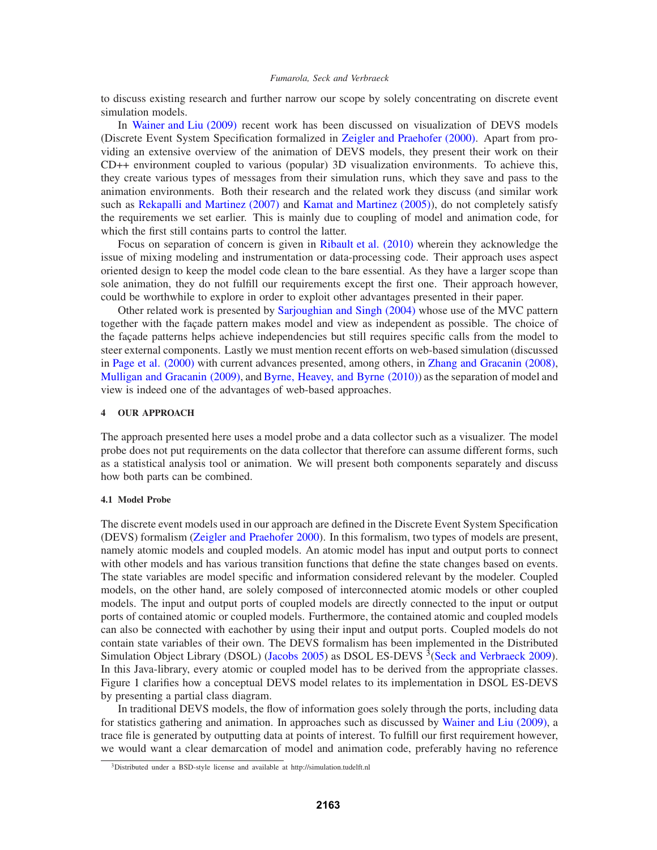to discuss existing research and further narrow our scope by solely concentrating on discrete event simulation models.

In Wainer and Liu (2009) recent work has been discussed on visualization of DEVS models (Discrete Event System Specification formalized in Zeigler and Praehofer (2000). Apart from providing an extensive overview of the animation of DEVS models, they present their work on their CD++ environment coupled to various (popular) 3D visualization environments. To achieve this, they create various types of messages from their simulation runs, which they save and pass to the animation environments. Both their research and the related work they discuss (and similar work such as Rekapalli and Martinez (2007) and Kamat and Martinez (2005)), do not completely satisfy the requirements we set earlier. This is mainly due to coupling of model and animation code, for which the first still contains parts to control the latter.

Focus on separation of concern is given in Ribault et al. (2010) wherein they acknowledge the issue of mixing modeling and instrumentation or data-processing code. Their approach uses aspect oriented design to keep the model code clean to the bare essential. As they have a larger scope than sole animation, they do not fulfill our requirements except the first one. Their approach however, could be worthwhile to explore in order to exploit other advantages presented in their paper.

Other related work is presented by Sarjoughian and Singh (2004) whose use of the MVC pattern together with the façade pattern makes model and view as independent as possible. The choice of the facade patterns helps achieve independencies but still requires specific calls from the model to steer external components. Lastly we must mention recent efforts on web-based simulation (discussed in Page et al. (2000) with current advances presented, among others, in Zhang and Gracanin (2008), Mulligan and Gracanin (2009), and Byrne, Heavey, and Byrne (2010)) as the separation of model and view is indeed one of the advantages of web-based approaches.

### **4 OUR APPROACH**

The approach presented here uses a model probe and a data collector such as a visualizer. The model probe does not put requirements on the data collector that therefore can assume different forms, such as a statistical analysis tool or animation. We will present both components separately and discuss how both parts can be combined.

### **4.1 Model Probe**

The discrete event models used in our approach are defined in the Discrete Event System Specification (DEVS) formalism (Zeigler and Praehofer 2000). In this formalism, two types of models are present, namely atomic models and coupled models. An atomic model has input and output ports to connect with other models and has various transition functions that define the state changes based on events. The state variables are model specific and information considered relevant by the modeler. Coupled models, on the other hand, are solely composed of interconnected atomic models or other coupled models. The input and output ports of coupled models are directly connected to the input or output ports of contained atomic or coupled models. Furthermore, the contained atomic and coupled models can also be connected with eachother by using their input and output ports. Coupled models do not contain state variables of their own. The DEVS formalism has been implemented in the Distributed Simulation Object Library (DSOL) (Jacobs 2005) as DSOL ES-DEVS <sup>3</sup> (Seck and Verbraeck 2009). In this Java-library, every atomic or coupled model has to be derived from the appropriate classes. Figure 1 clarifies how a conceptual DEVS model relates to its implementation in DSOL ES-DEVS by presenting a partial class diagram.

In traditional DEVS models, the flow of information goes solely through the ports, including data for statistics gathering and animation. In approaches such as discussed by Wainer and Liu (2009), a trace file is generated by outputting data at points of interest. To fulfill our first requirement however, we would want a clear demarcation of model and animation code, preferably having no reference

<sup>3</sup>Distributed under a BSD-style license and available at http://simulation.tudelft.nl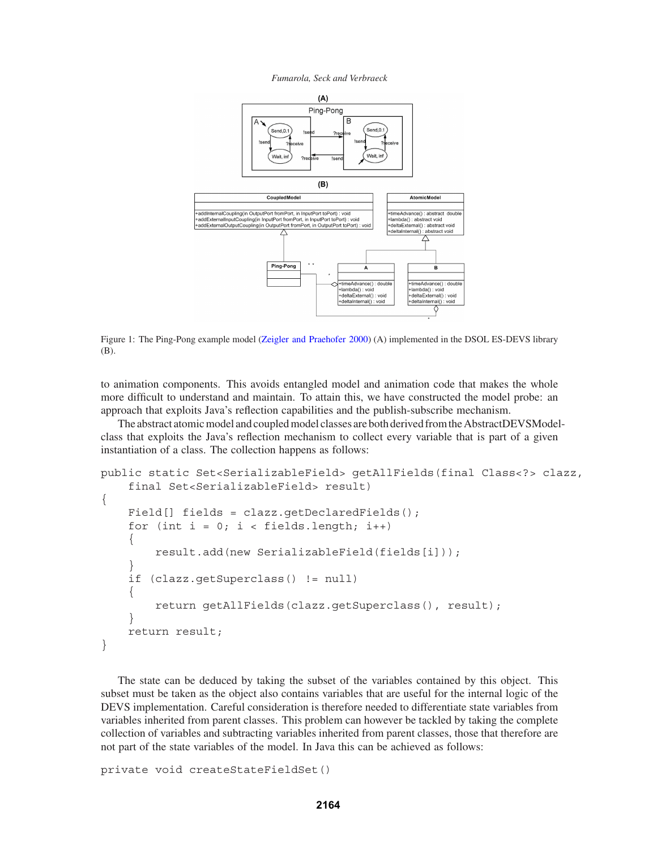*Fumarola, Seck and Verbraeck*



Figure 1: The Ping-Pong example model (Zeigler and Praehofer 2000) (A) implemented in the DSOL ES-DEVS library (B).

to animation components. This avoids entangled model and animation code that makes the whole more difficult to understand and maintain. To attain this, we have constructed the model probe: an approach that exploits Java's reflection capabilities and the publish-subscribe mechanism.

The abstract atomic model and coupled model classes are both derived from the AbstractDEVSModelclass that exploits the Java's reflection mechanism to collect every variable that is part of a given instantiation of a class. The collection happens as follows:

```
public static Set<SerializableField> getAllFields(final Class<?> clazz,
    final Set<SerializableField> result)
{
    Field[] fields = clazz.getDeclaredFields();
    for (int i = 0; i < fields.length; i++)
    {
        result.add(new SerializableField(fields[i]));
    }
    if (clazz.getSuperclass() != null)
    {
        return getAllFields(clazz.getSuperclass(), result);
    }
    return result;
}
```
The state can be deduced by taking the subset of the variables contained by this object. This subset must be taken as the object also contains variables that are useful for the internal logic of the DEVS implementation. Careful consideration is therefore needed to differentiate state variables from variables inherited from parent classes. This problem can however be tackled by taking the complete collection of variables and subtracting variables inherited from parent classes, those that therefore are not part of the state variables of the model. In Java this can be achieved as follows:

private void createStateFieldSet()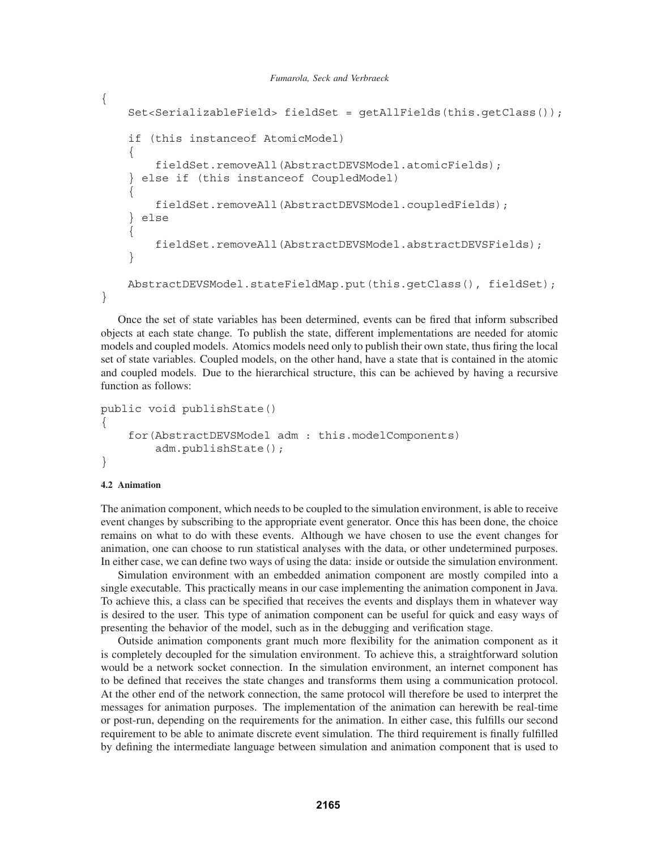```
{
    Set<SerializableField> fieldSet = getAllFields(this.getClass());
    if (this instanceof AtomicModel)
    {
        fieldSet.removeAll(AbstractDEVSModel.atomicFields);
     else if (this instanceof CoupledModel)
    {
        fieldSet.removeAll(AbstractDEVSModel.coupledFields);
    } else
    {
        fieldSet.removeAll(AbstractDEVSModel.abstractDEVSFields);
    }
    AbstractDEVSModel.stateFieldMap.put(this.qetClass(), fieldSet);
}
```
Once the set of state variables has been determined, events can be fired that inform subscribed objects at each state change. To publish the state, different implementations are needed for atomic models and coupled models. Atomics models need only to publish their own state, thus firing the local set of state variables. Coupled models, on the other hand, have a state that is contained in the atomic and coupled models. Due to the hierarchical structure, this can be achieved by having a recursive function as follows:

```
public void publishState()
{
    for(AbstractDEVSModel adm : this.modelComponents)
        adm.publishState();
}
```
### **4.2 Animation**

The animation component, which needs to be coupled to the simulation environment, is able to receive event changes by subscribing to the appropriate event generator. Once this has been done, the choice remains on what to do with these events. Although we have chosen to use the event changes for animation, one can choose to run statistical analyses with the data, or other undetermined purposes. In either case, we can define two ways of using the data: inside or outside the simulation environment.

Simulation environment with an embedded animation component are mostly compiled into a single executable. This practically means in our case implementing the animation component in Java. To achieve this, a class can be specified that receives the events and displays them in whatever way is desired to the user. This type of animation component can be useful for quick and easy ways of presenting the behavior of the model, such as in the debugging and verification stage.

Outside animation components grant much more flexibility for the animation component as it is completely decoupled for the simulation environment. To achieve this, a straightforward solution would be a network socket connection. In the simulation environment, an internet component has to be defined that receives the state changes and transforms them using a communication protocol. At the other end of the network connection, the same protocol will therefore be used to interpret the messages for animation purposes. The implementation of the animation can herewith be real-time or post-run, depending on the requirements for the animation. In either case, this fulfills our second requirement to be able to animate discrete event simulation. The third requirement is finally fulfilled by defining the intermediate language between simulation and animation component that is used to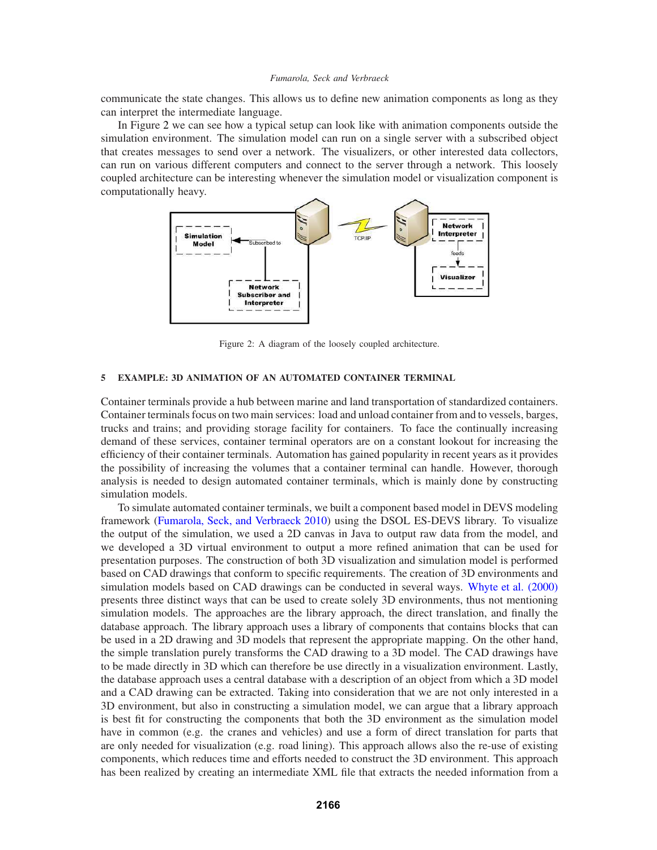communicate the state changes. This allows us to define new animation components as long as they can interpret the intermediate language.

In Figure 2 we can see how a typical setup can look like with animation components outside the simulation environment. The simulation model can run on a single server with a subscribed object that creates messages to send over a network. The visualizers, or other interested data collectors, can run on various different computers and connect to the server through a network. This loosely coupled architecture can be interesting whenever the simulation model or visualization component is computationally heavy.



Figure 2: A diagram of the loosely coupled architecture.

# **5 EXAMPLE: 3D ANIMATION OF AN AUTOMATED CONTAINER TERMINAL**

Container terminals provide a hub between marine and land transportation of standardized containers. Container terminals focus on two main services: load and unload container from and to vessels, barges, trucks and trains; and providing storage facility for containers. To face the continually increasing demand of these services, container terminal operators are on a constant lookout for increasing the efficiency of their container terminals. Automation has gained popularity in recent years as it provides the possibility of increasing the volumes that a container terminal can handle. However, thorough analysis is needed to design automated container terminals, which is mainly done by constructing simulation models.

To simulate automated container terminals, we built a component based model in DEVS modeling framework (Fumarola, Seck, and Verbraeck 2010) using the DSOL ES-DEVS library. To visualize the output of the simulation, we used a 2D canvas in Java to output raw data from the model, and we developed a 3D virtual environment to output a more refined animation that can be used for presentation purposes. The construction of both 3D visualization and simulation model is performed based on CAD drawings that conform to specific requirements. The creation of 3D environments and simulation models based on CAD drawings can be conducted in several ways. Whyte et al. (2000) presents three distinct ways that can be used to create solely 3D environments, thus not mentioning simulation models. The approaches are the library approach, the direct translation, and finally the database approach. The library approach uses a library of components that contains blocks that can be used in a 2D drawing and 3D models that represent the appropriate mapping. On the other hand, the simple translation purely transforms the CAD drawing to a 3D model. The CAD drawings have to be made directly in 3D which can therefore be use directly in a visualization environment. Lastly, the database approach uses a central database with a description of an object from which a 3D model and a CAD drawing can be extracted. Taking into consideration that we are not only interested in a 3D environment, but also in constructing a simulation model, we can argue that a library approach is best fit for constructing the components that both the 3D environment as the simulation model have in common (e.g. the cranes and vehicles) and use a form of direct translation for parts that are only needed for visualization (e.g. road lining). This approach allows also the re-use of existing components, which reduces time and efforts needed to construct the 3D environment. This approach has been realized by creating an intermediate XML file that extracts the needed information from a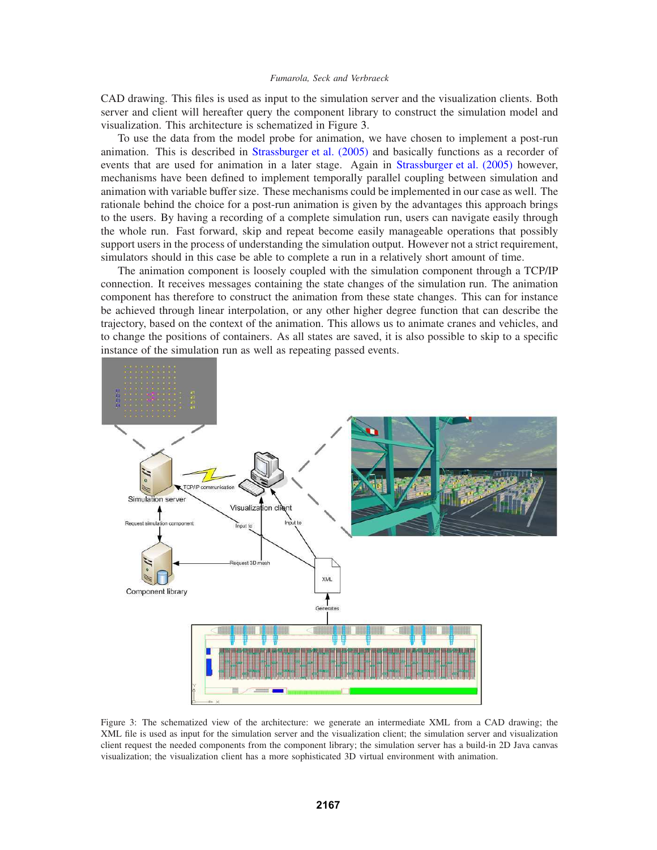CAD drawing. This files is used as input to the simulation server and the visualization clients. Both server and client will hereafter query the component library to construct the simulation model and visualization. This architecture is schematized in Figure 3.

To use the data from the model probe for animation, we have chosen to implement a post-run animation. This is described in Strassburger et al. (2005) and basically functions as a recorder of events that are used for animation in a later stage. Again in Strassburger et al. (2005) however, mechanisms have been defined to implement temporally parallel coupling between simulation and animation with variable buffer size. These mechanisms could be implemented in our case as well. The rationale behind the choice for a post-run animation is given by the advantages this approach brings to the users. By having a recording of a complete simulation run, users can navigate easily through the whole run. Fast forward, skip and repeat become easily manageable operations that possibly support users in the process of understanding the simulation output. However not a strict requirement, simulators should in this case be able to complete a run in a relatively short amount of time.

The animation component is loosely coupled with the simulation component through a TCP/IP connection. It receives messages containing the state changes of the simulation run. The animation component has therefore to construct the animation from these state changes. This can for instance be achieved through linear interpolation, or any other higher degree function that can describe the trajectory, based on the context of the animation. This allows us to animate cranes and vehicles, and to change the positions of containers. As all states are saved, it is also possible to skip to a specific instance of the simulation run as well as repeating passed events.



Figure 3: The schematized view of the architecture: we generate an intermediate XML from a CAD drawing; the XML file is used as input for the simulation server and the visualization client; the simulation server and visualization client request the needed components from the component library; the simulation server has a build-in 2D Java canvas visualization; the visualization client has a more sophisticated 3D virtual environment with animation.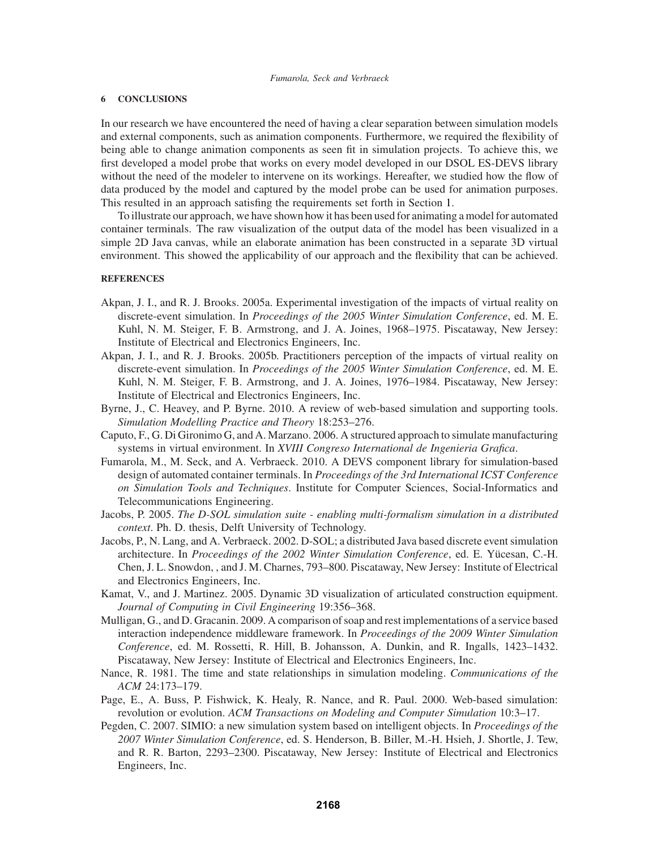### **6 CONCLUSIONS**

In our research we have encountered the need of having a clear separation between simulation models and external components, such as animation components. Furthermore, we required the flexibility of being able to change animation components as seen fit in simulation projects. To achieve this, we first developed a model probe that works on every model developed in our DSOL ES-DEVS library without the need of the modeler to intervene on its workings. Hereafter, we studied how the flow of data produced by the model and captured by the model probe can be used for animation purposes. This resulted in an approach satisfing the requirements set forth in Section 1.

To illustrate our approach, we have shown how it has been used for animating a model for automated container terminals. The raw visualization of the output data of the model has been visualized in a simple 2D Java canvas, while an elaborate animation has been constructed in a separate 3D virtual environment. This showed the applicability of our approach and the flexibility that can be achieved.

### **REFERENCES**

- Akpan, J. I., and R. J. Brooks. 2005a. Experimental investigation of the impacts of virtual reality on discrete-event simulation. In *Proceedings of the 2005 Winter Simulation Conference*, ed. M. E. Kuhl, N. M. Steiger, F. B. Armstrong, and J. A. Joines, 1968–1975. Piscataway, New Jersey: Institute of Electrical and Electronics Engineers, Inc.
- Akpan, J. I., and R. J. Brooks. 2005b. Practitioners perception of the impacts of virtual reality on discrete-event simulation. In *Proceedings of the 2005 Winter Simulation Conference*, ed. M. E. Kuhl, N. M. Steiger, F. B. Armstrong, and J. A. Joines, 1976–1984. Piscataway, New Jersey: Institute of Electrical and Electronics Engineers, Inc.
- Byrne, J., C. Heavey, and P. Byrne. 2010. A review of web-based simulation and supporting tools. *Simulation Modelling Practice and Theory* 18:253–276.
- Caputo, F., G. Di Gironimo G, and A. Marzano. 2006. A structured approach to simulate manufacturing systems in virtual environment. In *XVIII Congreso International de Ingenieria Grafica*.
- Fumarola, M., M. Seck, and A. Verbraeck. 2010. A DEVS component library for simulation-based design of automated container terminals. In *Proceedings of the 3rd International ICST Conference on Simulation Tools and Techniques*. Institute for Computer Sciences, Social-Informatics and Telecommunications Engineering.
- Jacobs, P. 2005. *The D-SOL simulation suite enabling multi-formalism simulation in a distributed context*. Ph. D. thesis, Delft University of Technology.
- Jacobs, P., N. Lang, and A. Verbraeck. 2002. D-SOL; a distributed Java based discrete event simulation architecture. In *Proceedings of the 2002 Winter Simulation Conference*, ed. E. Yücesan, C.-H. Chen, J. L. Snowdon, , and J. M. Charnes, 793–800. Piscataway, New Jersey: Institute of Electrical and Electronics Engineers, Inc.
- Kamat, V., and J. Martinez. 2005. Dynamic 3D visualization of articulated construction equipment. *Journal of Computing in Civil Engineering* 19:356–368.
- Mulligan, G., and D. Gracanin. 2009. A comparison of soap and rest implementations of a service based interaction independence middleware framework. In *Proceedings of the 2009 Winter Simulation Conference*, ed. M. Rossetti, R. Hill, B. Johansson, A. Dunkin, and R. Ingalls, 1423–1432. Piscataway, New Jersey: Institute of Electrical and Electronics Engineers, Inc.
- Nance, R. 1981. The time and state relationships in simulation modeling. *Communications of the ACM* 24:173–179.
- Page, E., A. Buss, P. Fishwick, K. Healy, R. Nance, and R. Paul. 2000. Web-based simulation: revolution or evolution. *ACM Transactions on Modeling and Computer Simulation* 10:3–17.
- Pegden, C. 2007. SIMIO: a new simulation system based on intelligent objects. In *Proceedings of the 2007 Winter Simulation Conference*, ed. S. Henderson, B. Biller, M.-H. Hsieh, J. Shortle, J. Tew, and R. R. Barton, 2293–2300. Piscataway, New Jersey: Institute of Electrical and Electronics Engineers, Inc.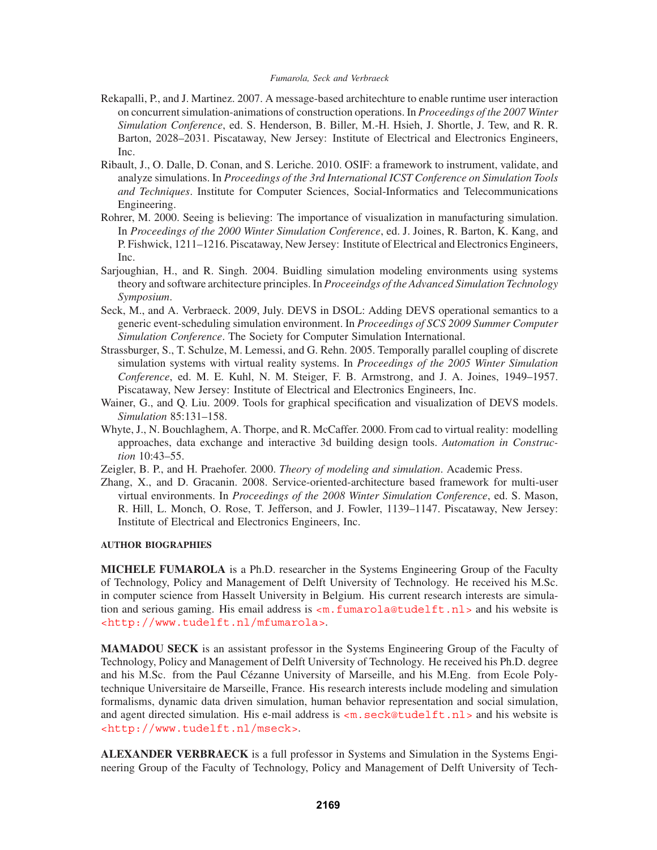- Rekapalli, P., and J. Martinez. 2007. A message-based architechture to enable runtime user interaction on concurrent simulation-animations of construction operations. In *Proceedings of the 2007 Winter Simulation Conference*, ed. S. Henderson, B. Biller, M.-H. Hsieh, J. Shortle, J. Tew, and R. R. Barton, 2028–2031. Piscataway, New Jersey: Institute of Electrical and Electronics Engineers, Inc.
- Ribault, J., O. Dalle, D. Conan, and S. Leriche. 2010. OSIF: a framework to instrument, validate, and analyze simulations. In *Proceedings of the 3rd International ICST Conference on Simulation Tools and Techniques*. Institute for Computer Sciences, Social-Informatics and Telecommunications Engineering.
- Rohrer, M. 2000. Seeing is believing: The importance of visualization in manufacturing simulation. In *Proceedings of the 2000 Winter Simulation Conference*, ed. J. Joines, R. Barton, K. Kang, and P. Fishwick, 1211–1216. Piscataway, New Jersey: Institute of Electrical and Electronics Engineers, Inc.
- Sarjoughian, H., and R. Singh. 2004. Buidling simulation modeling environments using systems theory and software architecture principles. In *Proceeindgs of the Advanced Simulation Technology Symposium*.
- Seck, M., and A. Verbraeck. 2009, July. DEVS in DSOL: Adding DEVS operational semantics to a generic event-scheduling simulation environment. In *Proceedings of SCS 2009 Summer Computer Simulation Conference*. The Society for Computer Simulation International.
- Strassburger, S., T. Schulze, M. Lemessi, and G. Rehn. 2005. Temporally parallel coupling of discrete simulation systems with virtual reality systems. In *Proceedings of the 2005 Winter Simulation Conference*, ed. M. E. Kuhl, N. M. Steiger, F. B. Armstrong, and J. A. Joines, 1949–1957. Piscataway, New Jersey: Institute of Electrical and Electronics Engineers, Inc.
- Wainer, G., and O. Liu. 2009. Tools for graphical specification and visualization of DEVS models. *Simulation* 85:131–158.
- Whyte, J., N. Bouchlaghem, A. Thorpe, and R. McCaffer. 2000. From cad to virtual reality: modelling approaches, data exchange and interactive 3d building design tools. *Automation in Construction* 10:43–55.
- Zeigler, B. P., and H. Praehofer. 2000. *Theory of modeling and simulation*. Academic Press.
- Zhang, X., and D. Gracanin. 2008. Service-oriented-architecture based framework for multi-user virtual environments. In *Proceedings of the 2008 Winter Simulation Conference*, ed. S. Mason, R. Hill, L. Monch, O. Rose, T. Jefferson, and J. Fowler, 1139–1147. Piscataway, New Jersey: Institute of Electrical and Electronics Engineers, Inc.

### **AUTHOR BIOGRAPHIES**

**MICHELE FUMAROLA** is a Ph.D. researcher in the Systems Engineering Group of the Faculty of Technology, Policy and Management of Delft University of Technology. He received his M.Sc. in computer science from Hasselt University in Belgium. His current research interests are simulation and serious gaming. His email address is  $\leq m$ . fumarola@tudelft.nl> and his website is <http://www.tudelft.nl/mfumarola>.

**MAMADOU SECK** is an assistant professor in the Systems Engineering Group of the Faculty of Technology, Policy and Management of Delft University of Technology. He received his Ph.D. degree and his M.Sc. from the Paul Cézanne University of Marseille, and his M.Eng. from Ecole Polytechnique Universitaire de Marseille, France. His research interests include modeling and simulation formalisms, dynamic data driven simulation, human behavior representation and social simulation, and agent directed simulation. His e-mail address is  $\langle m, \text{seck}(\theta) \rangle$  and his website is <http://www.tudelft.nl/mseck>.

**ALEXANDER VERBRAECK** is a full professor in Systems and Simulation in the Systems Engineering Group of the Faculty of Technology, Policy and Management of Delft University of Tech-